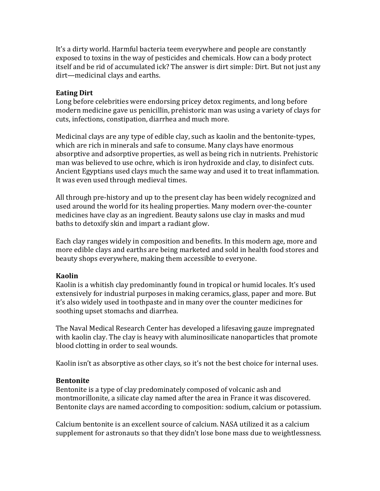It's a dirty world. Harmful bacteria teem everywhere and people are constantly exposed to toxins in the way of pesticides and chemicals. How can a body protect itself and be rid of accumulated ick? The answer is dirt simple: Dirt. But not just any dirt—medicinal clays and earths.

#### Eating Dirt

Long before celebrities were endorsing pricey detox regiments, and long before modern medicine gave us penicillin, prehistoric man was using a variety of clays for cuts, infections, constipation, diarrhea and much more.

Medicinal clays are any type of edible clay, such as kaolin and the bentonite-types, which are rich in minerals and safe to consume. Many clays have enormous absorptive and adsorptive properties, as well as being rich in nutrients. Prehistoric man was believed to use ochre, which is iron hydroxide and clay, to disinfect cuts. Ancient Egyptians used clays much the same way and used it to treat inflammation. It was even used through medieval times.

All through pre-history and up to the present clay has been widely recognized and used around the world for its healing properties. Many modern over-the-counter medicines have clay as an ingredient. Beauty salons use clay in masks and mud baths to detoxify skin and impart a radiant glow.

Each clay ranges widely in composition and benefits. In this modern age, more and more edible clays and earths are being marketed and sold in health food stores and beauty shops everywhere, making them accessible to everyone.

### Kaolin

Kaolin is a whitish clay predominantly found in tropical or humid locales. It's used extensively for industrial purposes in making ceramics, glass, paper and more. But it's also widely used in toothpaste and in many over the counter medicines for soothing upset stomachs and diarrhea.

The Naval Medical Research Center has developed a lifesaving gauze impregnated with kaolin clay. The clay is heavy with aluminosilicate nanoparticles that promote blood clotting in order to seal wounds.

Kaolin isn't as absorptive as other clays, so it's not the best choice for internal uses.

### Bentonite

Bentonite is a type of clay predominately composed of volcanic ash and montmorillonite, a silicate clay named after the area in France it was discovered. Bentonite clays are named according to composition: sodium, calcium or potassium.

Calcium bentonite is an excellent source of calcium. NASA utilized it as a calcium supplement for astronauts so that they didn't lose bone mass due to weightlessness.